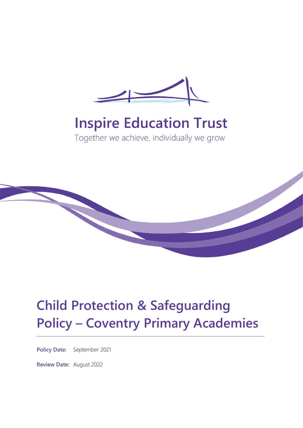

# **Inspire Education Trust**

Together we achieve, individually we grow



# **Child Protection & Safeguarding Policy – Coventry Primary Academies**

**Policy Date:** September 2021

**Review Date:** August 2022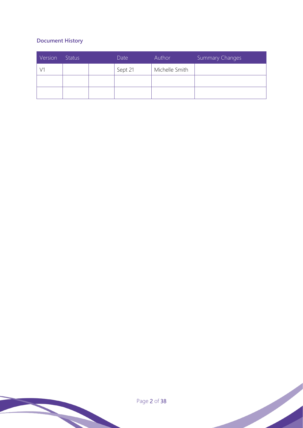# **Document History**

| Version | <b>Status</b> | Date    | Author         | Summary Changes |
|---------|---------------|---------|----------------|-----------------|
|         |               | Sept 21 | Michelle Smith |                 |
|         |               |         |                |                 |
|         |               |         |                |                 |

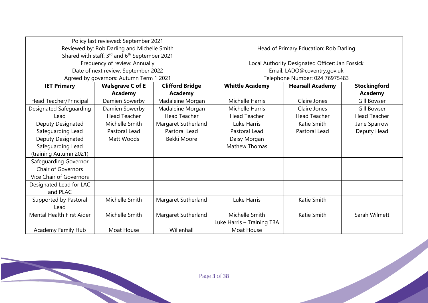|                           | Policy last reviewed: September 2021                      |                        |                                                 |                         |                     |
|---------------------------|-----------------------------------------------------------|------------------------|-------------------------------------------------|-------------------------|---------------------|
|                           | Reviewed by: Rob Darling and Michelle Smith               |                        | Head of Primary Education: Rob Darling          |                         |                     |
|                           | Shared with staff: 3rd and 6 <sup>th</sup> September 2021 |                        |                                                 |                         |                     |
|                           | Frequency of review: Annually                             |                        | Local Authority Designated Officer: Jan Fossick |                         |                     |
|                           | Date of next review: September 2022                       |                        | Email: LADO@coventry.gov.uk                     |                         |                     |
|                           | Agreed by governors: Autumn Term 1 2021                   |                        | Telephone Number: 024 76975483                  |                         |                     |
| <b>IET Primary</b>        | <b>Walsgrave C of E</b>                                   | <b>Clifford Bridge</b> | <b>Whittle Academy</b>                          | <b>Hearsall Academy</b> | <b>Stockingford</b> |
|                           | <b>Academy</b>                                            | <b>Academy</b>         |                                                 |                         | <b>Academy</b>      |
| Head Teacher/Principal    | Damien Sowerby                                            | Madaleine Morgan       | <b>Michelle Harris</b>                          | Claire Jones            | Gill Bowser         |
| Designated Safeguarding   | Damien Sowerby                                            | Madaleine Morgan       | <b>Michelle Harris</b>                          | Claire Jones            | <b>Gill Bowser</b>  |
| Lead                      | <b>Head Teacher</b>                                       | <b>Head Teacher</b>    | <b>Head Teacher</b>                             | <b>Head Teacher</b>     | <b>Head Teacher</b> |
| Deputy Designated         | Michelle Smith                                            | Margaret Sutherland    | Luke Harris                                     | Katie Smith             | Jane Sparrow        |
| Safeguarding Lead         | Pastoral Lead                                             | Pastoral Lead          | Pastoral Lead                                   | Pastoral Lead           | Deputy Head         |
| Deputy Designated         | Matt Woods                                                | Bekki Moore            | Daisy Morgan                                    |                         |                     |
| Safeguarding Lead         |                                                           |                        | <b>Mathew Thomas</b>                            |                         |                     |
| (training Autumn 2021)    |                                                           |                        |                                                 |                         |                     |
| Safeguarding Governor     |                                                           |                        |                                                 |                         |                     |
| <b>Chair of Governors</b> |                                                           |                        |                                                 |                         |                     |
| Vice Chair of Governors   |                                                           |                        |                                                 |                         |                     |
| Designated Lead for LAC   |                                                           |                        |                                                 |                         |                     |
| and PLAC                  |                                                           |                        |                                                 |                         |                     |
| Supported by Pastoral     | Michelle Smith                                            | Margaret Sutherland    | Luke Harris                                     | Katie Smith             |                     |
| Lead                      |                                                           |                        |                                                 |                         |                     |
| Mental Health First Aider | Michelle Smith                                            | Margaret Sutherland    | Michelle Smith                                  | <b>Katie Smith</b>      | Sarah Wilmett       |
|                           |                                                           |                        | Luke Harris - Training TBA                      |                         |                     |
| Academy Family Hub        | Moat House                                                | Willenhall             | Moat House                                      |                         |                     |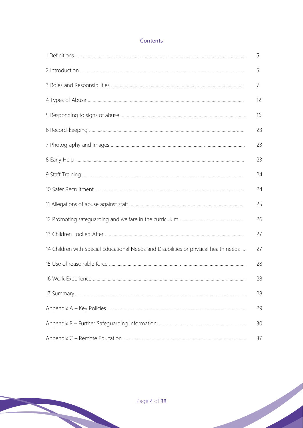# **Contents**

|                                                                                      | 5  |
|--------------------------------------------------------------------------------------|----|
|                                                                                      | 5  |
|                                                                                      | 7  |
|                                                                                      | 12 |
|                                                                                      | 16 |
|                                                                                      | 23 |
|                                                                                      | 23 |
|                                                                                      | 23 |
|                                                                                      | 24 |
|                                                                                      | 24 |
|                                                                                      | 25 |
|                                                                                      | 26 |
|                                                                                      | 27 |
| 14 Children with Special Educational Needs and Disabilities or physical health needs | 27 |
|                                                                                      | 28 |
|                                                                                      | 28 |
|                                                                                      | 28 |
|                                                                                      | 29 |
|                                                                                      | 30 |
|                                                                                      | 37 |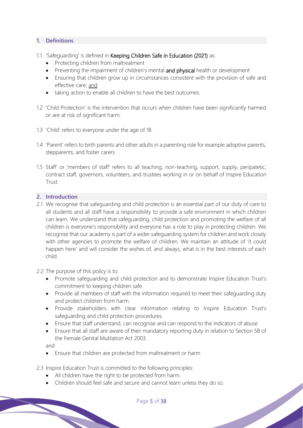## **1. Definitions**

- 1.1 'Safeguarding' is defined in Keeping Children Safe in Education (2021) as:
	- Protecting children from maltreatment
	- Preventing the impairment of children's mental and physical health or development
	- Ensuring that children grow up in circumstances consistent with the provision of safe and effective care; and
	- taking action to enable all children to have the best outcomes.
- 1.2 'Child Protection' is the intervention that occurs when children have been significantly harmed or are at risk of significant harm.
- 1.3 'Child' refers to everyone under the age of 18.
- 1.4 'Parent' refers to birth parents and other adults in a parenting role for example adoptive parents, stepparents, and foster carers.
- 1.5 Staff' or 'members of staff' refers to all teaching, non-teaching, support, supply, peripatetic, contract staff, governors, volunteers, and trustees working in or on behalf of Inspire Education Trust

#### **2. Introduction**

- 2.1 We recognise that safeguarding and child protection is an essential part of our duty of care to all students and all staff have a responsibility to provide a safe environment in which children can learn. We understand that safeguarding, child protection and promoting the welfare of all children is everyone's responsibility and everyone has a role to play in protecting children. We recognise that our academy is part of a wider safeguarding system for children and work closely with other agencies to promote the welfare of children. We maintain an attitude of 'it could happen here' and will consider the wishes of, and always, what is in the best interests of each child.
- 2.2 The purpose of this policy is to:
	- Promote safeguarding and child protection and to demonstrate Inspire Education Trust's commitment to keeping children safe.
	- Provide all members of staff with the information required to meet their safeguarding duty and protect children from harm.
	- Provide stakeholders with clear information relating to Inspire Education Trust's safeguarding and child protection procedures.
	- Ensure that staff understand, can recognise and can respond to the indicators of abuse.
	- Ensure that all staff are aware of their mandatory reporting duty in relation to Section 5B of the Female Genital Mutilation Act 2003.

and

- Ensure that children are protected from maltreatment or harm
- 2.3 Inspire Education Trust is committed to the following principles:
	- All children have the right to be protected from harm.
	- Children should feel safe and secure and cannot learn unless they do so.

Page 5 of 38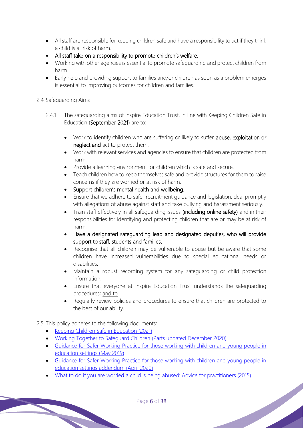- All staff are responsible for keeping children safe and have a responsibility to act if they think a child is at risk of harm.
- All staff take on a responsibility to promote children's welfare.
- Working with other agencies is essential to promote safeguarding and protect children from harm.
- Early help and providing support to families and/or children as soon as a problem emerges is essential to improving outcomes for children and families.

## 2.4 Safeguarding Aims

- 2.4.1 The safeguarding aims of Inspire Education Trust, in line with Keeping Children Safe in Education (September 2021) are to:
	- Work to identify children who are suffering or likely to suffer abuse, exploitation or neglect and act to protect them.
	- Work with relevant services and agencies to ensure that children are protected from harm.
	- Provide a learning environment for children which is safe and secure.
	- Teach children how to keep themselves safe and provide structures for them to raise concerns if they are worried or at risk of harm.
	- Support children's mental health and wellbeing.
	- Ensure that we adhere to safer recruitment guidance and legislation, deal promptly with allegations of abuse against staff and take bullying and harassment seriously.
	- Train staff effectively in all safequarding issues (including online safety) and in their responsibilities for identifying and protecting children that are or may be at risk of harm.
	- Have a designated safeguarding lead and designated deputies, who will provide support to staff, students and families.
	- Recognise that all children may be vulnerable to abuse but be aware that some children have increased vulnerabilities due to special educational needs or disabilities.
	- Maintain a robust recording system for any safeguarding or child protection information.
	- Ensure that everyone at Inspire Education Trustunderstands the safeguarding procedures; and to
	- Regularly review policies and procedures to ensure that children are protected to the best of our ability.

# 2.5 This policy adheres to the following documents:

- Keeping Children Safe in Education (2021)
- Working Together to Safeguard Children (Parts updated December 2020)
- Guidance for Safer Working Practice for those working with children and young people in education settings (May 2019)
- Guidance for Safer Working Practice for those working with children and young people in education settings addendum (April 2020)
- What to do if you are worried a child is being abused: Advice for practitioners (2015)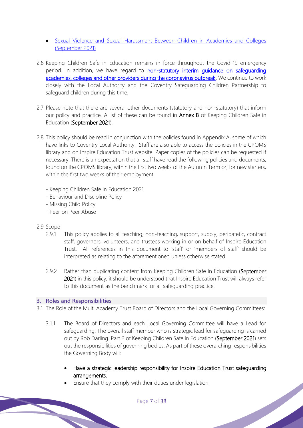- Sexual Violence and Sexual Harassment Between Children in Academies and Colleges (September 2021)
- 2.6 Keeping Children Safe in Education remains in force throughout the Covid-19 emergency period. In addition, we have regard to non-statutory interim quidance on safequarding academies, colleges and other providers during the coronavirus outbreak. We continue to work closely with the Local Authority and the Coventry Safeguarding Children Partnership to safeguard children during this time.
- 2.7 Please note that there are several other documents (statutory and non-statutory) that inform our policy and practice. A list of these can be found in **Annex B** of Keeping Children Safe in Education (September 2021).
- 2.8 This policy should be read in conjunction with the policies found in Appendix A, some of which have links to Coventry Local Authority. Staff are also able to access the policies in the CPOMS library and on Inspire Education Trust website. Paper copies of the policies can be requested if necessary. There is an expectation that all staff have read the following policies and documents, found on the CPOMS library, within the first two weeks of the Autumn Term or, for new starters, within the first two weeks of their employment.
	- Keeping Children Safe in Education 2021
	- Behaviour and Discipline Policy
	- Missing Child Policy
	- Peer on Peer Abuse

## 2.9 Scope

- 2.9.1 This policy applies to all teaching, non-teaching, support, supply, peripatetic, contract staff, governors, volunteers, and trustees working in or on behalf ofInspire Education Trust. All references in this document to 'staff' or 'members of staff' should be interpreted as relating to the aforementioned unless otherwise stated.
- 2.9.2 Rather than duplicating content from Keeping Children Safe in Education (September 2021) in this policy, it should be understood thatInspire Education Trustwill always refer to this document as the benchmark for all safeguarding practice.

## **3. Roles and Responsibilities**

- 3.1 The Role of the Multi Academy Trust Board of Directors and the Local Governing Committees:
	- 3.1.1 The Board of Directors and each Local Governing Committee will have a Lead for safeguarding. The overall staff member who is strategic lead for safeguarding is carried out by Rob Darling. Part 2 of Keeping Children Safe in Education (September 2021) sets out the responsibilities of governing bodies. As part of these overarching responsibilities the Governing Body will:
		- Have a strategic leadership responsibility for Inspire Education Trust safeguarding arrangements.

Ensure that they comply with their duties under legislation.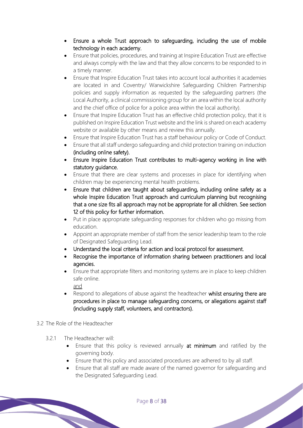- Ensure a whole Trust approach to safeguarding, including the use of mobile technology in each academy.
- Ensure that policies, procedures, and training at Inspire Education Trust are effective and always comply with the law and that they allow concerns to be responded to in a timely manner.
- Ensure that Inspire Education Trust takes into account local authorities it academies are located in and Coventry/ Warwickshire Safeguarding Children Partnership policies and supply information as requested by the safeguarding partners (the Local Authority, a clinical commissioning group for an area within the local authority and the chief office of police for a police area within the local authority).
- Ensure that Inspire Education Trust has an effective child protection policy, that it is published onInspire Education Trust website and the link is shared on each academy website or available by other means and review this annually.
- Ensure that Inspire Education Trust has a staff behaviour policy or Code of Conduct.
- Ensure that all staff undergo safeguarding and child protection training on induction (including online safety).
- EnsureInspire Education Trust contributes to multi-agency working in line with statutory guidance.
- Ensure that there are clear systems and processes in place for identifying when children may be experiencing mental health problems.
- Ensure that children are taught about safeguarding, including online safety as a whole Inspire Education Trust approach and curriculum planning but recognising that a one size fits all approach may not be appropriate for all children. See section 12 of this policy for further information.
- Put in place appropriate safeguarding responses for children who go missing from education.
- Appoint an appropriate member of staff from the senior leadership team to the role of Designated Safeguarding Lead.
- Understand the local criteria for action and local protocol for assessment.
- Recognise the importance of information sharing between practitioners and local agencies.
- Ensure that appropriate filters and monitoring systems are in place to keep children safe online.
- and • Respond to allegations of abuse against the headteacher whilst ensuring there are procedures in place to manage safeguarding concerns, or allegations against staff (including supply staff, volunteers, and contractors).
- 3.2 The Role of the Headteacher
	- 3.2.1 The Headteacher will:
		- Ensure that this policy is reviewed annually at minimum and ratified by the governing body.
		- Ensure that this policy and associated procedures are adhered to by all staff.
		- Ensure that all staff are made aware of the named governor for safeguarding and the Designated Safeguarding Lead.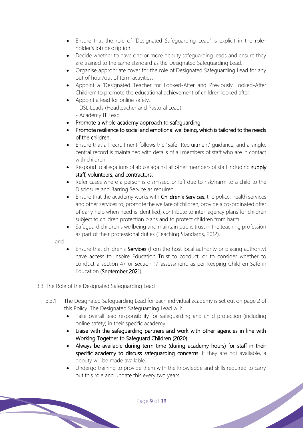- Ensure that the role of 'Designated Safeguarding Lead' is explicit in the roleholder's job description.
- Decide whether to have one or more deputy safeguarding leads and ensure they are trained to the same standard as the Designated Safeguarding Lead.
- Organise appropriate cover for the role of Designated Safeguarding Lead for any out of hour/out of term activities.
- Appoint a 'Designated Teacher for Looked-After and Previously Looked-After Children' to promote the educational achievement of children looked after.
- Appoint a lead for online safety.
	- DSL Leads (Headteacher and Pastoral Lead)
	- Academy IT Lead
- Promote a whole academy approach to safeguarding.
- Promote resilience to social and emotional wellbeing, which is tailored to the needs of the children.
- Ensure that all recruitment follows the 'Safer Recruitment' guidance, and a single, central record is maintained with details of all members of staff who are in contact with children
- Respond to allegations of abuse against all other members of staff including supply staff, volunteers, and contractors.
- Refer cases where a person is dismissed or left due to risk/harm to a child to the Disclosure and Barring Service as required.
- Ensure that the academy works with Children's Services, the police, health services and other services to; promote the welfare of children; provide a co-ordinated offer of early help when need is identified; contribute to inter-agency plans for children subject to children protection plans and to protect children from harm.
- Safeguard children's wellbeing and maintain public trust in the teaching profession as part of their professional duties (Teaching Standards, 2012).

and

- Ensure that children's **Services** (from the host local authority or placing authority) have access to Inspire Education Trust to conduct, or to consider whether to conduct a section 47 or section 17 assessment, as per Keeping Children Safe in Education (September 2021).
- 3.3 The Role of the Designated Safeguarding Lead
	- 3.3.1 The Designated Safeguarding Lead for each individual academy is set out on page 2 of this Policy. The Designated Safeguarding Lead will:
		- Take overall lead responsibility for safeguarding and child protection (including online safety) in their specific academy.
		- Liaise with the safeguarding partners and work with other agencies in line with Working Together to Safeguard Children (2020).
		- Always be available during term time (during academy hours) for staff in their specific academy to discuss safeguarding concerns. If they are not available, a deputy will be made available.
		- Undergo training to provide them with the knowledge and skills required to carry out this role and update this every two years.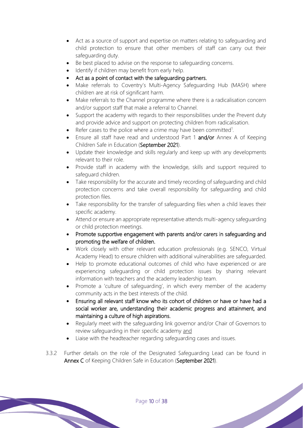- Act as a source of support and expertise on matters relating to safeguarding and child protection to ensure that other members of staff can carry out their safeguarding duty.
- Be best placed to advise on the response to safeguarding concerns.
- Identify if children may benefit from early help.
- Act as a point of contact with the safeguarding partners.
- Make referrals to Coventry's Multi-Agency Safeguarding Hub (MASH) where children are at risk of significant harm.
- Make referrals to the Channel programme where there is a radicalisation concern and/or support staff that make a referral to Channel.
- Support the academy with regards to their responsibilities under the Prevent duty and provide advice and support on protecting children from radicalisation.
- Refer cases to the police where a crime may have been committed<sup>1</sup>.
- Ensure all staff have read and understood Part 1 and/or Annex A of Keeping Children Safe in Education (September 2021).
- Update their knowledge and skills regularly and keep up with any developments relevant to their role.
- Provide staff in academy with the knowledge, skills and support required to safeguard children.
- Take responsibility for the accurate and timely recording of safeguarding and child protection concerns and take overall responsibility for safeguarding and child protection files.
- Take responsibility for the transfer of safeguarding files when a child leaves their specific academy.
- Attend or ensure an appropriate representative attends multi-agency safeguarding or child protection meetings.
- Promote supportive engagement with parents and/or carers in safeguarding and promoting the welfare of children.
- Work closely with other relevant education professionals (e.g. SENCO, Virtual Academy Head) to ensure children with additional vulnerabilities are safeguarded.
- Help to promote educational outcomes of child who have experienced or are experiencing safeguarding or child protection issues by sharing relevant information with teachers and the academy leadership team.
- Promote a 'culture of safeguarding', in which every member of the academy community acts in the best interests of the child.
- Ensuringall relevant staff know who its cohort of children or have or have had a social worker are, understanding their academic progress and attainment, and maintaining a culture of high aspirations.
- Regularly meet with the safeguarding link governor and/or Chair of Governors to review safeguarding in their specific academy and

- Liaise with the headteacher regarding safeguarding cases and issues.
- 3.3.2 Further details on the role of the Designated Safeguarding Lead can be found in Annex C of Keeping Children Safe in Education (September 2021).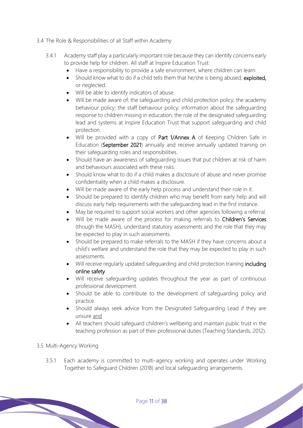- 3.4 The Role & Responsibilities of all Staff within Academy
	- 3.4.1 Academy staff play a particularly important role because they can identify concerns early to provide help for children. All staff atlnspire Education Trust:
		- Have a responsibility to provide a safe environment, where children can learn.
		- Should know what to do if a child tells them that he/she is being abused, exploited, or neglected.
		- Will be able to identify indicators of abuse.
		- Will be made aware of; the safeguarding and child protection policy; the academy behaviour policy; the staff behaviour policy; information about the safeguarding response to children missing in education; the role of the designated safeguarding lead and systems at Inspire Education Trust that support safeguarding and child protection.
		- Will be provided with a copy of Part 1/Annex A of Keeping Children Safe in Education (September 2021) annually and receive annually updated training on their safeguarding roles and responsibilities.
		- Should have an awareness of safeguarding issues that put children at risk of harm and behaviours associated with these risks.
		- Should know what to do if a child makes a disclosure of abuse and never promise confidentiality when a child makes a disclosure.
		- Will be made aware of the early help process and understand their role in it.
		- Should be prepared to identify children who may benefit from early help and will discuss early help requirements with the safeguarding lead in the first instance.
		- May be required to support social workers and other agencies following a referral.
		- Will be made aware of the process for making referrals to Children's Services (though the MASH), understand statutory assessments and the role that they may be expected to play in such assessments.
		- Should be prepared to make referrals to the MASH if they have concerns about a child's welfare and understand the role that they may be expected to play in such assessments.
		- Will receive regularly updated safeguarding and child protection training including online safety.
		- Will receive safeguarding updates throughout the year as part of continuous professional development.
		- Should be able to contribute to the development of safeguarding policy and practice.
		- Should always seek advice from the Designated Safeguarding Lead if they are unsure and
		- All teachers should safeguard children's wellbeing and maintain public trust in the teaching profession as part of their professional duties (Teaching Standards, 2012).

## 3.5 Multi-Agency Working

3.5.1 Each academy is committed to multi-agency working and operates under Working Together to Safeguard Children (2018) and local safeguarding arrangements.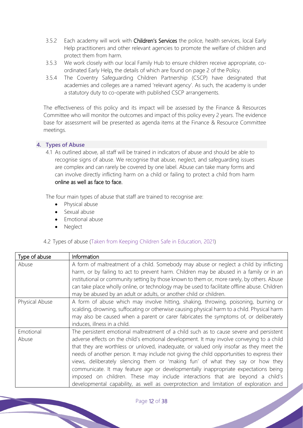- 3.5.2 Each academy will work with Children's Services the police, health services, local Early Help practitioners and other relevant agencies to promote the welfare of children and protect them from harm.
- 3.5.3 We work closely with our local Family Hub to ensure children receive appropriate, coordinated Early Help, the details of which are found on page 2 of the Policy.
- 3.5.4 The Coventry Safeguarding Children Partnership (CSCP) have designated that academies and colleges are a named 'relevant agency'. As such, the academy is under a statutory duty to co-operate with published CSCP arrangements.

The effectiveness of this policy and its impact will be assessed by the Finance & Resources Committee who will monitor the outcomes and impact of this policy every 2 years. The evidence base for assessment will be presented as agenda items at the Finance & Resource Committee meetings.

## **4. Types of Abuse**

4.1 As outlined above, all staff will be trained in indicators of abuse and should be able to recognise signs of abuse. We recognise that abuse, neglect, and safeguarding issues are complex and can rarely be covered by one label. Abuse can take many forms and can involve directly inflicting harm on a child or failing to protect a child from harm online as well as face to face.

The four main types of abuse that staff are trained to recognise are:

- Physical abuse
- Sexual abuse
- Emotional abuse
- **Neglect**

## 4.2 Types of abuse (Taken from Keeping Children Safe in Education, 2021)

| Type of abuse      | Information                                                                                                                                                                                                                                                                                                                                                                                                                                                                                                                                                                                                                                                                                                                        |
|--------------------|------------------------------------------------------------------------------------------------------------------------------------------------------------------------------------------------------------------------------------------------------------------------------------------------------------------------------------------------------------------------------------------------------------------------------------------------------------------------------------------------------------------------------------------------------------------------------------------------------------------------------------------------------------------------------------------------------------------------------------|
| Abuse              | A form of maltreatment of a child. Somebody may abuse or neglect a child by inflicting<br>harm, or by failing to act to prevent harm. Children may be abused in a family or in an<br>institutional or community setting by those known to them or, more rarely, by others. Abuse<br>can take place wholly online, or technology may be used to facilitate offline abuse. Children<br>may be abused by an adult or adults, or another child or children.                                                                                                                                                                                                                                                                            |
| Physical Abuse     | A form of abuse which may involve hitting, shaking, throwing, poisoning, burning or<br>scalding, drowning, suffocating or otherwise causing physical harm to a child. Physical harm<br>may also be caused when a parent or carer fabricates the symptoms of, or deliberately<br>induces, illness in a child.                                                                                                                                                                                                                                                                                                                                                                                                                       |
| Emotional<br>Abuse | The persistent emotional maltreatment of a child such as to cause severe and persistent<br>adverse effects on the child's emotional development. It may involve conveying to a child<br>that they are worthless or unloved, inadequate, or valued only insofar as they meet the<br>needs of another person. It may include not giving the child opportunities to express their<br>views, deliberately silencing them or 'making fun' of what they say or how they<br>communicate. It may feature age or developmentally inappropriate expectations being<br>imposed on children. These may include interactions that are beyond a child's<br>developmental capability, as well as overprotection and limitation of exploration and |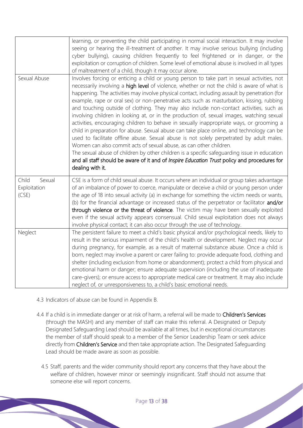|                                          | learning, or preventing the child participating in normal social interaction. It may involve<br>seeing or hearing the ill-treatment of another. It may involve serious bullying (including<br>cyber bullying), causing children frequently to feel frightened or in danger, or the<br>exploitation or corruption of children. Some level of emotional abuse is involved in all types<br>of maltreatment of a child, though it may occur alone.                                                                                                                                                                                                                                                                                                                                                                                                                                                                                                                                                                                                                                                                                                                   |
|------------------------------------------|------------------------------------------------------------------------------------------------------------------------------------------------------------------------------------------------------------------------------------------------------------------------------------------------------------------------------------------------------------------------------------------------------------------------------------------------------------------------------------------------------------------------------------------------------------------------------------------------------------------------------------------------------------------------------------------------------------------------------------------------------------------------------------------------------------------------------------------------------------------------------------------------------------------------------------------------------------------------------------------------------------------------------------------------------------------------------------------------------------------------------------------------------------------|
| Sexual Abuse                             | Involves forcing or enticing a child or young person to take part in sexual activities, not<br>necessarily involving a high level of violence, whether or not the child is aware of what is<br>happening. The activities may involve physical contact, including assault by penetration (for<br>example, rape or oral sex) or non-penetrative acts such as masturbation, kissing, rubbing<br>and touching outside of clothing. They may also include non-contact activities, such as<br>involving children in looking at, or in the production of, sexual images, watching sexual<br>activities, encouraging children to behave in sexually inappropriate ways, or grooming a<br>child in preparation for abuse. Sexual abuse can take place online, and technology can be<br>used to facilitate offline abuse. Sexual abuse is not solely perpetrated by adult males.<br>Women can also commit acts of sexual abuse, as can other children.<br>The sexual abuse of children by other children is a specific safeguarding issue in education<br>and all staff should be aware of it and of Inspire Education Trust policy and procedures for<br>dealing with it. |
| Child<br>Sexual<br>Exploitation<br>(CSE) | CSE is a form of child sexual abuse. It occurs where an individual or group takes advantage<br>of an imbalance of power to coerce, manipulate or deceive a child or young person under<br>the age of 18 into sexual activity (a) in exchange for something the victim needs or wants,<br>(b) for the financial advantage or increased status of the perpetrator or facilitator and/or<br>through violence or the threat of violence. The victim may have been sexually exploited<br>even if the sexual activity appears consensual. Child sexual exploitation does not always<br>involve physical contact; it can also occur through the use of technology.                                                                                                                                                                                                                                                                                                                                                                                                                                                                                                      |
| Neglect                                  | The persistent failure to meet a child's basic physical and/or psychological needs, likely to<br>result in the serious impairment of the child's health or development. Neglect may occur<br>during pregnancy, for example, as a result of maternal substance abuse. Once a child is<br>born, neglect may involve a parent or carer failing to: provide adequate food, clothing and<br>shelter (including exclusion from home or abandonment); protect a child from physical and<br>emotional harm or danger; ensure adequate supervision (including the use of inadequate<br>care-givers); or ensure access to appropriate medical care or treatment. It may also include<br>neglect of, or unresponsiveness to, a child's basic emotional needs.                                                                                                                                                                                                                                                                                                                                                                                                               |

- 4.3 Indicators of abuse can be found in Appendix B.
- 4.4 If a child is in immediate danger or at risk of harm, a referral will be made to Children's Services (through the MASH) and any member of staff can make this referral. A Designated or Deputy Designated Safeguarding Lead should be available at all times, but in exceptional circumstances the member of staff should speak to a member of the Senior Leadership Team or seek advice directly from Children's Service and then take appropriate action. The Designated Safeguarding Lead should be made aware as soon as possible.
	- 4.5 Staff, parents and the wider community should report any concerns that they have about the welfare of children, however minor or seemingly insignificant. Staff should not assume that someone else will report concerns.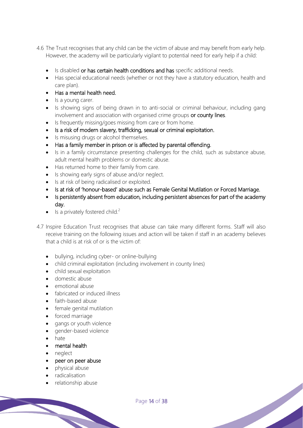- 4.6 The Trust recognises that any child can be the victim of abuse and may benefit from early help. However, the academy will be particularly vigilant to potential need for early help if a child:
	- Is disabled or has certain health conditions and has specific additional needs.
	- Has special educational needs (whether or not they have a statutory education, health and care plan).
	- Has a mental health need.
	- Is a young carer.
	- Is showing signs of being drawn in to anti-social or criminal behaviour, including gang involvement and association with organised crime groups or county lines.
	- Is frequently missing/goes missing from care or from home.
	- Is a risk of modern slavery, trafficking, sexual or criminal exploitation.
	- Is misusing drugs or alcohol themselves.
	- Has a family member in prison or is affected by parental offending.
	- Is in a family circumstance presenting challenges for the child, such as substance abuse, adult mental health problems or domestic abuse.
	- Has returned home to their family from care.
	- Is showing early signs of abuse and/or neglect.
	- Is at risk of being radicalised or exploited.
	- Is at risk of 'honour-based' abuse such as Female Genital Mutilation or Forced Marriage.
	- Is persistently absent from education, including persistent absences for part of the academy day.
	- Is a privately fostered child.<sup>2</sup>
- 4.7 Inspire Education Trustrecognises that abuse can take many different forms. Staff will also receive training on the following issues and action will be taken if staff in an academybelieves that a child is at risk of or is the victim of:
	- bullying, including cyber- or online-bullying
	- child criminal exploitation (including involvement in county lines)
	- child sexual exploitation
	- domestic abuse
	- emotional abuse
	- fabricated or induced illness
	- faith-based abuse
	- female genital mutilation
	- forced marriage
	- gangs or youth violence
	- gender-based violence
	- hate
	- mental health
	- neglect
	- peer on peer abuse
	- physical abuse
	- radicalisation
	- relationship abuse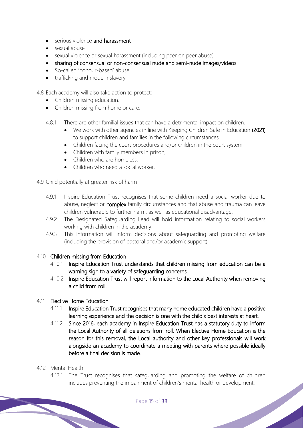- serious violence and harassment
- sexual abuse
- sexual violence or sexual harassment (including peer on peer abuse)
- sharing of consensual or non-consensual nude and semi-nude images/videos
- So-called 'honour-based' abuse
- trafficking and modern slavery

4.8 Each academy will also take action to protect:

- Children missing education.
- Children missing from home or care.
- 4.8.1 There are other familial issues that can have a detrimental impact on children.
	- We work with other agencies in line with Keeping Children Safe in Education (2021) to support children and families in the following circumstances.
	- Children facing the court procedures and/or children in the court system.
	- Children with family members in prison,
	- Children who are homeless.
	- Children who need a social worker
- 4.9 Child potentially at greater risk of harm
	- 4.9.1 Inspire Education Trust recognises that some children need a social worker due to abuse, neglect or **complex** family circumstances and that abuse and trauma can leave children vulnerable to further harm, as well as educational disadvantage.
	- 4.9.2 The Designated Safeguarding Lead will hold information relating to social workers working with children in the academy.
	- 4.9.3 This information will inform decisions about safeguarding and promoting welfare (including the provision of pastoral and/or academic support).

#### 4.10 Children missing from Education

- 4.10.1 Inspire Education Trust understands that children missing from education can be a warning sign to a variety of safeguarding concerns.
- 4.10.2 Inspire Education Trust will report information to the Local Authority when removing a child from roll.

## 4.11 Elective Home Education

- 4.11.1 Inspire Education Trust recognises that many home educated children have a positive learning experience and the decision is one with the child's best interests at heart.
- 4.11.2 Since 2016, each academy in Inspire Education Trust has a statutory duty to inform the Local Authority of all deletions from roll. When Elective Home Education is the reason for this removal, the Local authority and other key professionals will work alongside an academy to coordinate a meeting with parents where possible ideally before a final decision is made.

#### 4.12 Mental Health

4.12.1 The Trust recognises that safeguarding and promoting the welfare of children includes preventing the impairment of children's mental health or development.<br>Page 15 of 38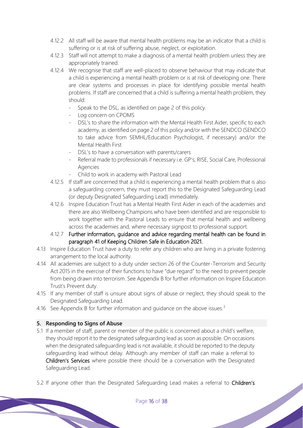- 4.12.2 All staff will be aware that mental health problems may be an indicator that a child is suffering or is at risk of suffering abuse, neglect, or exploitation.
- 4.12.3 Staff will not attempt to make a diagnosis of a mental health problem unless they are appropriately trained.
- 4.12.4 We recognise that staff are well-placed to observe behaviour that may indicate that a child is experiencing a mental health problem or is at risk of developing one. There are clear systems and processes in place for identifying possible mental health problems. If staff are concerned that a child is suffering a mental health problem, they should:
	- Speak to the DSL, as identified on page 2 of this policy.
	- Log concern on CPOMS
	- DSL's to share the information with the Mental Health First Aider, specific to each academy, as identified on page 2 of this policy and/or with the SENDCO (SENDCO to take advice from SEMHL/Education Psychologist, if necessary) and/or the Mental Health First
	- DSL's to have a conversation with parents/carers
	- Referral made to professionals if necessary i.e. GP's, RISE, Social Care, Professional Agencies
	- Child to work in academy with Pastoral Lead
- 4.12.5 If staff are concerned that a child is experiencing a mental health problem that is also a safeguarding concern, they must report this to the Designated Safeguarding Lead (or deputy Designated Safeguarding Lead) immediately.
- 4.12.6 Inspire Education Trust has a Mental Health First Aider in each of the academies and there are also Wellbeing Champions who have been identified and are responsible to work together with the Pastoral Leads to ensure that mental health and wellbeing across the academies and, where necessary signpost to professional support.
- 4.12.7 Further information, guidance and advice regarding mental health can be found in paragraph 41 of Keeping Children Safe in Education 2021.
- 4.13 Inspire Education Trusthave a duty to refer any children who are living in a private fostering arrangement to the local authority.
- 4.14 All academies are subject to a duty under section 26 of the Counter-Terrorism and Security Act 2015 in the exercise of their functions to have "due regard" to the need to prevent people from being drawn into terrorism. See Appendix B for further information on Inspire Education Trust's Prevent duty.
- 4.15 If any member of staff is unsure about signs of abuse or neglect, they should speak to the Designated Safeguarding Lead.
- 4.16 See Appendix B for further information and quidance on the above issues.<sup>3</sup>

## **5. Responding to Signs of Abuse**

- 5.1 If a member of staff, parent or member of the public is concerned about a child's welfare, they should report it to the designated safeguarding lead as soon as possible. On occasions when the designated safeguarding lead is not available, it should be reported to the deputy safeguarding lead without delay. Although any member of staff can make a referral to Children's Services where possible there should be a conversation with the Designated Safeguarding Lead.
- 5.2 If anyone other than the Designated Safeguarding Lead makes a referral to Children's<br>Page 16 of 38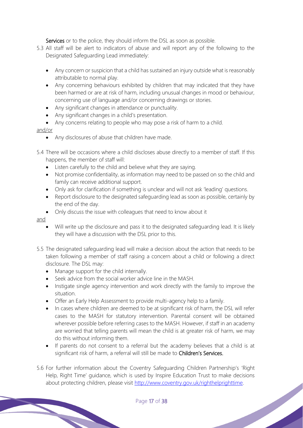Services or to the police, they should inform the DSL as soon as possible.

- 5.3 All staff will be alert to indicators of abuse and will report any of the following to the Designated Safeguarding Lead immediately:
	- Any concern or suspicion that a child has sustained an injury outside what is reasonably attributable to normal play.
	- Any concerning behaviours exhibited by children that may indicated that they have been harmed or are at risk of harm, including unusual changes in mood or behaviour, concerning use of language and/or concerning drawings or stories.
	- Any significant changes in attendance or punctuality.
	- Any significant changes in a child's presentation.
	- Any concerns relating to people who may pose a risk of harm to a child.

#### and/or

- Any disclosures of abuse that children have made.
- 5.4 There will be occasions where a child discloses abuse directly to a member of staff. If this happens, the member of staff will:
	- Listen carefully to the child and believe what they are saying.
	- Not promise confidentiality, as information may need to be passed on so the child and family can receive additional support.
	- Only ask for clarification if something is unclear and will not ask 'leading' questions.
	- Report disclosure to the designated safeguarding lead as soon as possible, certainly by the end of the day.
	- Only discuss the issue with colleagues that need to know about it

#### and

- Will write up the disclosure and pass it to the designated safeguarding lead. It is likely they will have a discussion with the DSL prior to this.
- 5.5 The designated safeguarding lead will make a decision about the action that needs to be taken following a member of staff raising a concern about a child or following a direct disclosure. The DSL may:
	- Manage support for the child internally.
	- Seek advice from the social worker advice line in the MASH.
	- Instigate single agency intervention and work directly with the family to improve the situation.
	- Offer an Early Help Assessment to provide multi-agency help to a family.
	- In cases where children are deemed to be at significant risk of harm, the DSL will refer cases to the MASH for statutory intervention. Parental consent will be obtained wherever possible before referring cases to the MASH. However, if staff in an academy are worried that telling parents will mean the child is at greater risk of harm, we may do this without informing them.
	- If parents do not consent to a referral but the academy believes that a child is at significant risk of harm, a referral will still be made to Children's Services.
- 5.6 For further information about the Coventry Safeguarding Children Partnership's 'Right Help, Right Time' guidance, which is used byInspire Education Trust to make decisions about protecting children, please visit http://www.coventry.gov.uk/righthelprighttime.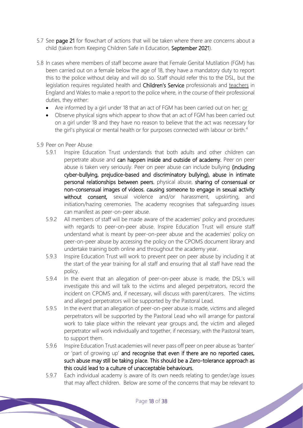- 5.7 See page 21 for flowchart of actions that will be taken where there are concerns about a child (taken from Keeping Children Safe in Education, September 2021).
- 5.8 In cases where members of staff become aware that Female Genital Mutilation (FGM) has been carried out on a female below the age of 18, they have a mandatory duty to report this to the police without delay and will do so. Staff should refer this to the DSL, but the legislation requires regulated health and Children's Service professionals and teachers in England and Wales to make a report to the police where, in the course of their professional duties, they either:
	- Are informed by a girl under 18 that an act of FGM has been carried out on her; or
	- Observe physical signs which appear to show that an act of FGM has been carried out on a girl under 18 and they have no reason to believe that the act was necessary for the girl's physical or mental health or for purposes connected with labour or birth.<sup>4</sup>
- 5.9 Peer on Peer Abuse
	- 5.9.1 Inspire Education Trust understands that both adults and other children can perpetrate abuse and can happen inside and outside of academy. Peer on peer abuse is taken very seriously. Peer on peer abuse can include bullying (including cyber-bullying, prejudice-based and discriminatory bullying), abuse in intimate personal relationships between peers, physical abuse, sharing of consensual or non-consensual images of videos, causing someone to engage in sexual activity without consent, sexual violence and/or harassment, upskirting, and initiation/hazing ceremonies. The academy recognises that safeguarding issues can manifest as peer-on-peer abuse.
	- 5.9.2 All members of staff will be made aware of the academies' policy and procedures with regards to peer-on-peer abuse. Inspire Education Trust will ensure staff understand what is meant by peer-on-peer abuse and the academies' policy on peer-on-peer abuse by accessing the policy on the CPOMS document library and undertake training both online and throughout the academy year.
	- 5.9.3 Inspire Education Trust will work to prevent peer on peer abuse by including it at the start of the year training for all staff and ensuring that all staff have read the policy.
	- 5.9.4 In the event that an allegation of peer-on-peer abuse is made, the DSL's will investigate this and will talk to the victims and alleged perpetrators, record the incident on CPOMS and, if necessary, will discuss with parent/carers. The victims and alleged perpetrators will be supported by the Pastoral Lead.
	- 5.9.5 In the event that an allegation of peer-on-peer abuse is made, victims and alleged perpetrators will be supported by the Pastoral Lead who will arrange for pastoral work to take place within the relevant year groups and, the victim and alleged perpetrator will work individually and together, if necessary, with the Pastoral team, to support them.
	- 5.9.6 Inspire Education Trust academies will never pass off peer on peer abuse as 'banter' or 'part of growing up' and recognise that even if there are no reported cases, such abuse may still be taking place. This should be a Zero-tolerance approach as this could lead to a culture of unacceptable behaviours.
	- 5.9.7 Each individual academy is aware of its own needs relating to gender/age issues that may affect children. Below are some of the concerns that may be relevant to<br>Page 18 of 38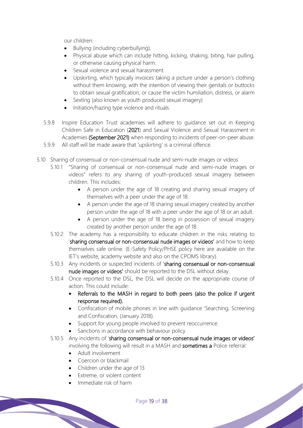our children:

- Bullying (including cyberbullying).
- Physical abuse which can include hitting, kicking, shaking, biting, hair pulling, or otherwise causing physical harm.
- Sexual violence and sexual harassment.
- Upskirting, which typically invoices taking a picture under a person's clothing without them knowing, with the intention of viewing their genitals or buttocks to obtain sexual gratification, or cause the victim humiliation, distress, or alarm
- Sexting (also known as youth produced sexual imagery)
- Initiation/hazing type violence and rituals.
- 5.9.8 Inspire Education Trust academies will adhere to guidance set out in Keeping Children Safe in Education (2021) and Sexual Violence and Sexual Harassment in Academies (September 2021) when responding to incidents of peer-on-peer abuse.
- 5.9.9 All staff will be made aware that 'upskirting' is a criminal offence.
- 5.10 Sharing of consensual or non-consensual nude and semi-nude images or videos
	- 5.10.1 "Sharing of consensual or non-consensual nude and semi-nude images or videos" refers to any sharing of youth-produced sexual imagery between children. This includes:
		- A person under the age of 18 creating and sharing sexual imagery of themselves with a peer under the age of 18.
		- A person under the age of 18 sharing sexual imagery created by another person under the age of 18 with a peer under the age of 18 or an adult.
		- A person under the age of 18 being in possession of sexual imagery created by another person under the age of 18.
		- 5.10.2 The academy has a responsibility to educate children in the risks relating to 'sharing consensual or non-consensual nude images or videos' and how to keep themselves safe online. (E-Safety Policy/PHSE policy here are available on the IET's website, academy website and also on the CPOMS library).
		- 5.10.3 Any incidents or suspected incidents of 'sharing consensual or non-consensual nude images or videos' should be reported to the DSL without delay.
		- 5.10.4 Once reported to the DSL, the DSL will decide on the appropriate course of action. This could include:
			- Referrals to the MASH in regard to both peers (also the police if urgent response required).
			- Confiscation of mobile phones in line with guidance 'Searching, Screening and Confiscation, (January 2018).
			- Support for young people involved to prevent reoccurrence.
			- Sanctions in accordance with behaviour policy.
		- 5.10.5 Any incidents of 'sharing consensual or non-consensual nude images or videos' involving the following will result in a MASH and sometimes a Police referral:
			- Adult involvement
			- Coercion or blackmail
			- Children under the age of 13
			- Extreme, or violent content
			- Immediate risk of harm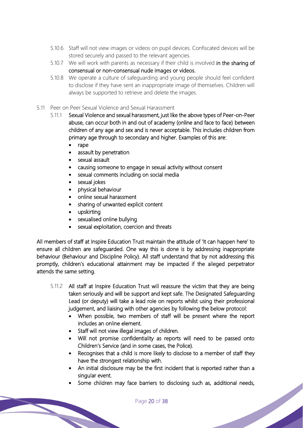- 5.10.6 Staff will not view images or videos on pupil devices. Confiscated devices will be stored securely and passed to the relevant agencies.
- 5.10.7 We will work with parents as necessary if their child is involved in the sharing of consensual or non-consensual nude images or videos.
- 5.10.8 We operate a culture of safeguarding and young people should feel confident to disclose if they have sent an inappropriate image of themselves. Children will always be supported to retrieve and delete the images.
- 5.11 Peer on Peer Sexual Violence and Sexual Harassment
	- 5.11.1 Sexual Violence and sexual harassment, just like the above types of Peer-on-Peer abuse, can occur both in and out of academy (online and face to face) between children of any age and sex and is never acceptable. This includes children from primary age through to secondary and higher. Examples of this are:
		- rape
		- assault by penetration
		- sexual assault
		- causing someone to engage in sexual activity without consent
		- sexual comments including on social media
		- sexual jokes
		- physical behaviour
		- online sexual harassment
		- sharing of unwanted explicit content
		- upskirting
		- sexualised online bullying
		- sexual exploitation, coercion and threats

All members of staff at Inspire Education Trust maintain the attitude of 'It can happen here' to ensure all children are safeguarded. One way this is done is by addressing inappropriate behaviour (Behaviour and Discipline Policy). All staff understand that by not addressing this promptly, children's educational attainment may be impacted if the alleged perpetrator attends the same setting.

- 5.11.2 All staff at Inspire Education Trust will reassure the victim that they are being taken seriously and will be support and kept safe. The Designated Safeguarding Lead (or deputy) will take a lead role on reports whilst using their professional judgement, and liaising with other agencies by following the below protocol:
	- When possible, two members of staff will be present where the report includes an online element.
	- Staff will not view illegal images of children.
	- Will not promise confidentiality as reports will need to be passed onto Children's Service (and in some cases, the Police).
	- Recognises that a child is more likely to disclose to a member of staff they have the strongest relationship with.
	- An initial disclosure may be the first incident that is reported rather than a singular event.
	- Some children may face barriers to disclosing such as, additional needs,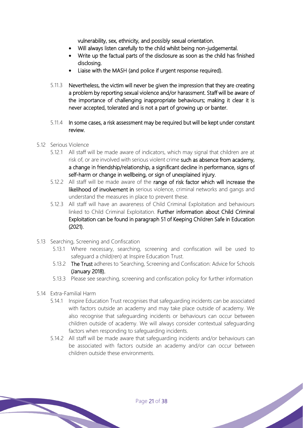vulnerability, sex, ethnicity, and possibly sexual orientation.

- Will always listen carefully to the child whilst being non-judgemental.
- Write up the factual parts of the disclosure as soon as the child has finished disclosing.
- Liaise with the MASH (and police if urgent response required).
- 5.11.3 Nevertheless, the victim will never be given the impression that they are creating a problem by reporting sexual violence and/or harassment. Staff will be aware of the importance of challenging inappropriate behaviours; making it clear it is never accepted, tolerated and is not a part of growing up or banter.
- 5.11.4 In some cases, a risk assessment may be required but will be kept under constant review.
- 5.12 Serious Violence
	- 5.12.1 All staff will be made aware of indicators, which may signal that children are at risk of, or are involved with serious violent crime such as absence from academy, a change in friendship/relationship, a significant decline in performance, signs of self-harm or change in wellbeing, or sign of unexplained injury.
	- 5.12.2 All staff will be made aware of the range of risk factor which will increase the likelihood of involvement in serious violence, criminal networks and gangs and understand the measures in place to prevent these.
	- 5.12.3 All staff will have an awareness of Child Criminal Exploitation and behaviours linked to Child Criminal Exploitation. Further information about Child Criminal Exploitation can be found in paragraph 51 of Keeping Children Safe in Education (2021).
- 5.13 Searching, Screening and Confiscation
	- 5.13.1 Where necessary, searching, screening and confiscation will be used to safeguard a child(ren) atInspire Education Trust.
	- 5.13.2 The Trust adheres to 'Searching, Screening and Confiscation: Advice for Schools (January 2018).
	- 5.13.3 Please see searching, screening and confiscation policy for further information
- 5.14 Extra-Familial Harm
	- 5.14.1 Inspire Education Trust recognises that safeguarding incidents can be associated with factors outside an academy and may take place outside of academy. We also recognise that safeguarding incidents or behaviours can occur between children outside of academy. We will always consider contextual safeguarding factors when responding to safeguarding incidents.
	- 5.14.2 All staff will be made aware that safeguarding incidents and/or behaviours can be associated with factors outside an academy and/or can occur between children outside these environments.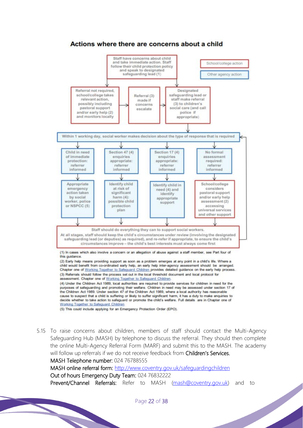

5.15 To raise concerns about children, members of staff should contact the Multi-Agency Safeguarding Hub (MASH) by telephone to discuss the referral. They should then complete the online Multi-Agency Referral Form (MARF) and submit this to the MASH. The academy will follow up referrals if we do not receive feedback from Children's Services. MASH Telephone number: 024 76788555

MASH online referral form: http://www.coventry.gov.uk/safeguardingchildren Out of hours Emergency Duty Team: 024 76832222 Prevent/Channel Referrals: Refer to MASH (mash@coventry.gov.uk) and to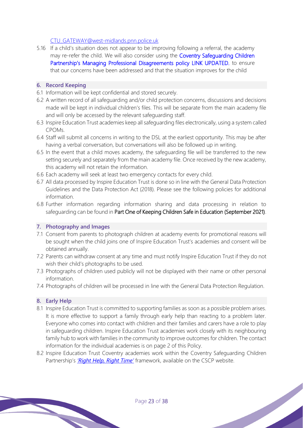## CTU\_GATEWAY@west-midlands.pnn.police.uk

5.16 If a child's situation does not appear to be improving following a referral, the academy may re-refer the child. We will also consider using the Coventry Safequarding Children Partnership's Managing Professional Disagreements policy LINK UPDATED. to ensure that our concerns have been addressed and that the situation improves for the child

#### **6. Record Keeping**

- 6.1 Information will be kept confidential and stored securely.
- 6.2 A written record of all safeguarding and/or child protection concerns, discussions and decisions made will be kept in individual children's files. This will be separate from the main academy file and will only be accessed by the relevant safeguarding staff.
- 6.3 Inspire Education Trust academies keep all safeguarding files electronically, using a system called CPOMs.
- 6.4 Staff will submit all concerns in writing to the DSL at the earliest opportunity. This may be after having a verbal conversation, but conversations will also be followed up in writing.
- 6.5 In the event that a child moves academy, the safeguarding file will be transferred to the new setting securely and separately from the main academy file. Once received by the new academy, this academy will not retain the information.
- 6.6 Each academy will seek at least two emergency contacts for every child.
- 6.7 All data processed by Inspire Education Trust is done so in line with the General Data Protection Guidelines and the Data Protection Act (2018). Please see the following policies for additional information.
- 6.8 Further information regarding information sharing and data processing in relation to safeguarding can be found in Part One of Keeping Children Safe in Education (September 2021).

## **7. Photography and Images**

- 7.1 Consent from parents to photograph children at academy events for promotional reasons will be sought when the child joins one of Inspire Education Trust's academies and consent will be obtained annually.
- 7.2 Parents can withdraw consent at any time and must notify Inspire Education Trust if they do not wish their child's photographs to be used.
- 7.3 Photographs of children used publicly will not be displayed with their name or other personal information.
- 7.4 Photographs of children will be processed in line with the General Data Protection Regulation.

#### **8. Early Help**

- 8.1 Inspire Education Trust is committed to supporting families as soon as a possible problem arises. It is more effective to support a family through early help than reacting to a problem later. Everyone who comes into contact with children and their families and carers have a role to play in safeguarding children. Inspire Education Trust academies work closely with its neighbouring family hub to work with families in the community to improve outcomes for children. The contact information for the individual academies is on page 2 of this Policy.
- 8.2 Inspire Education Trust Coventry academies work within the Coventry Safeguarding Children Partnership's *'Right Help, Right Time'* framework, available on the CSCP website.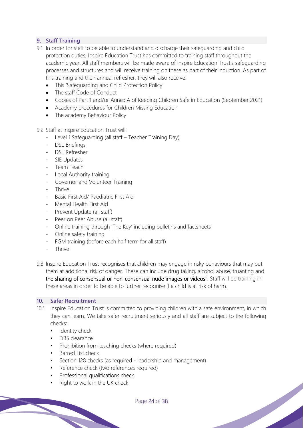# **9. Staff Training**

- 9.1 In order for staff to be able to understand and discharge their safeguarding and child protection duties, Inspire Education Trust has committed to training staff throughout the academic year. All staff members will be made aware of Inspire Education Trust's safeguarding processes and structures and will receive training on these as part of their induction. As part of this training and their annual refresher, they will also receive:
	- This 'Safeguarding and Child Protection Policy'
	- The staff Code of Conduct
	- Copies of Part 1 and/or Annex A of Keeping Children Safe in Education (September 2021)
	- Academy procedures for Children Missing Education
	- The academy Behaviour Policy

9.2 Staff at Inspire Education Trust will:

- Level 1 Safeguarding (all staff Teacher Training Day)
- DSL Briefings
- DSL Refresher
- SIE Updates
- Team Teach
- Local Authority training
- Governor and Volunteer Training
- Thrive
- Basic First Aid/ Paediatric First Aid
- Mental Health First Aid
- Prevent Update (all staff)
- Peer on Peer Abuse (all staff)
- Online training through 'The Key' including bulletins and factsheets
- Online safety training
- FGM training (before each half term for all staff)
- Thrive
- 9.3 Inspire Education Trust recognises that children may engage in risky behaviours that may put them at additional risk of danger. These can include drug taking, alcohol abuse, truanting and the sharing of consensual or non-consensual nude images or videos<sup>5</sup>. Staff will be training in these areas in order to be able to further recognise if a child is at risk of harm.

## **10. Safer Recruitment**

- 10.1 Inspire Education Trust is committed to providing children with a safe environment, in which they can learn. We take safer recruitment seriously and all staff are subject to the following checks:
	- Identity check
	- DBS clearance
	- Prohibition from teaching checks (where required)
	- Barred List check
	- Section 128 checks (as required leadership and management)
	- Reference check (two references required)
	- Professional qualifications check
	- Right to work in the UK check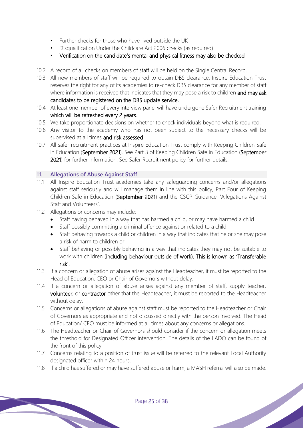- Further checks for those who have lived outside the UK
- Disqualification Under the Childcare Act 2006 checks (as required)
- Verification on the candidate's mental and physical fitness may also be checked
- 10.2 A record of all checks on members of staff will be held on the Single Central Record.
- 10.3 All new members of staff will be required to obtain DBS clearance. Inspire Education Trust reserves the right for any of its academies to re-check DBS clearance for any member of staff where information is received that indicates that they may pose a risk to children and may ask candidates to be registered on the DBS update service.
- 10.4 At least one member of every interview panel will have undergone Safer Recruitment training which will be refreshed every 2 years.
- 10.5 We take proportionate decisions on whether to check individuals beyond what is required.
- 10.6 Any visitor to the academy who has not been subject to the necessary checks will be supervised at all times and risk assessed.
- 10.7 All safer recruitment practices at Inspire Education Trust comply with Keeping Children Safe in Education (September 2021). See Part 3 of Keeping Children Safe in Education (September 2021) for further information. See Safer Recruitment policy for further details.

## **11. Allegations of Abuse Against Staff**

- 11.1 All Inspire Education Trust academies take any safeguarding concerns and/or allegations against staff seriously and will manage them in line with this policy, Part Four of Keeping Children Safe in Education (September 2021) and the CSCP Guidance, 'Allegations Against Staff and Volunteers'.
- 11.2 Allegations or concerns may include:
	- Staff having behaved in a way that has harmed a child, or may have harmed a child
	- Staff possibly committing a criminal offence against or related to a child
	- Staff behaving towards a child or children in a way that indicates that he or she may pose a risk of harm to children or
	- Staff behaving or possibly behaving in a way that indicates they may not be suitable to work with children (including behaviour outside of work). This is known as 'Transferable risk'.
- 11.3 If a concern or allegation of abuse arises against the Headteacher, it must be reported to the Head of Education, CEO or Chair of Governors without delay.
- 11.4 If a concern or allegation of abuse arises against any member of staff, supply teacher, volunteer, or contractor other that the Headteacher, it must be reported to the Headteacher without delay.
- 11.5 Concerns or allegations of abuse against staff must be reported to the Headteacher or Chair of Governors as appropriate and not discussed directly with the person involved. The Head of Education/ CEO must be informed at all times about any concerns or allegations.
- 11.6 The Headteacher or Chair of Governors should consider if the concern or allegation meets the threshold for Designated Officer intervention. The details of the LADO can be found of the front of this policy.
- 11.7 Concerns relating to a position of trust issue will be referred to the relevant Local Authority designated officer within 24 hours.
- 11.8 If a child has suffered or may have suffered abuse or harm, a MASH referral will also be made.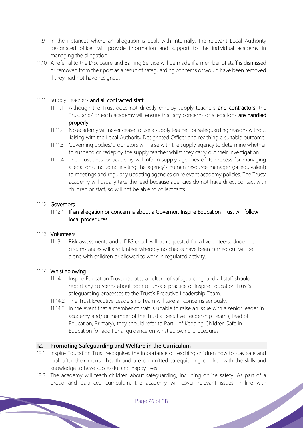- 11.9 In the instances where an allegation is dealt with internally, the relevant Local Authority designated officer will provide information and support to the individual academy in managing the allegation.
- 11.10 A referral to the Disclosure and Barring Service will be made if a member of staff is dismissed or removed from their post as a result of safeguarding concerns or would have been removed if they had not have resigned.

## 11.11 Supply Teachers and all contracted staff

- 11.11.1 Although the Trust does not directly employ supply teachers and contractors, the Trust and/ or each academy will ensure that any concerns or allegations are handled properly.
- 11.11.2 No academy will never cease to use a supply teacher for safeguarding reasons without liaising with the Local Authority Designated Officer and reaching a suitable outcome.
- 11.11.3 Governing bodies/proprietors will liaise with the supply agency to determine whether to suspend or redeploy the supply teacher whilst they carry out their investigation.
- 11.11.4 The Trust and/ or academy will inform supply agencies of its process for managing allegations, including inviting the agency's human resource manager (or equivalent) to meetings and regularly updating agencies on relevant academy policies. The Trust/ academy will usually take the lead because agencies do not have direct contact with children or staff, so will not be able to collect facts.

## 11.12 Governors

## 11.12.1 If an allegation or concern is about a Governor, Inspire Education Trust will follow local procedures.

#### 11.13 Volunteers

11.13.1 Risk assessments and a DBS check will be requested for all volunteers. Under no circumstances will a volunteer whereby no checks have been carried out will be alone with children or allowed to work in regulated activity.

## 11.14 Whistleblowing

- 11.14.1 Inspire Education Trust operates a culture of safeguarding, and all staff should report any concerns about poor or unsafe practice or Inspire Education Trust's safeguarding processes to the Trust's Executive Leadership Team.
- 11.14.2 The Trust Executive Leadership Team will take all concerns seriously.
- 11.14.3 In the event that a member of staff is unable to raise an issue with a senior leader in academy and/ or member of the Trust's Executive Leadership Team (Head of Education, Primary), they should refer to Part 1 of Keeping Children Safe in Education for additional guidance on whistleblowing procedures

## **12. Promoting Safeguarding and Welfare in the Curriculum**

- 12.1 Inspire Education Trust recognises the importance of teaching children how to stay safe and look after their mental health and are committed to equipping children with the skills and knowledge to have successful and happy lives.
- 12.2 The academy will teach children about safeguarding, including online safety. As part of a broad and balanced curriculum, the academy will cover relevant issues in line with<br>Page 26 of 38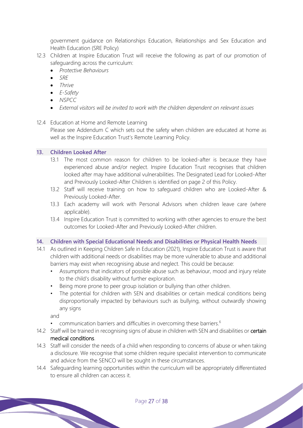government guidance on Relationships Education, Relationships and Sex Education and Health Education (SRE Policy)

- 12.3 Children at Inspire Education Trust will receive the following as part of our promotion of safeguarding across the curriculum:
	- *Protective Behaviours*
	- *SRE*
	- *Thrive*
	- *E-Safety*
	- *NSPCC*
	- *External visitors will be invited to work with the children dependent on relevant issues*

## 12.4 Education at Home and Remote Learning

Please see Addendum C which sets out the safety when children are educated at home as well as the Inspire Education Trust's Remote Learning Policy.

## **13. Children Looked After**

- 13.1 The most common reason for children to be looked-after is because they have experienced abuse and/or neglect. Inspire Education Trust recognises that children looked after may have additional vulnerabilities. The Designated Lead for Looked-After and Previously Looked-After Children is identified on page 2 of this Policy.
- 13.2 Staff will receive training on how to safeguard children who are Looked-After & Previously Looked-After.
- 13.3 Each academy will work with Personal Advisors when children leave care (where applicable).
- 13.4 Inspire Education Trust is committed to working with other agencies to ensure the best outcomes for Looked-After and Previously Looked-After children.

## **14. Children with Special Educational Needs and Disabilities or Physical Health Needs**

- 14.1 As outlined in Keeping Children Safe in Education (2021), Inspire Education Trust is aware that children with additional needs or disabilities may be more vulnerable to abuse and additional barriers may exist when recognising abuse and neglect. This could be because:
	- Assumptions that indicators of possible abuse such as behaviour, mood and injury relate to the child's disability without further exploration.
	- Being more prone to peer group isolation or bullying than other children.
	- The potential for children with SEN and disabilities or certain medical conditions being disproportionally impacted by behaviours such as bullying, without outwardly showing any signs

and

- communication barriers and difficulties in overcoming these barriers.<sup>6</sup>
- 14.2 Staff will be trained in recognising signs of abuse in children with SEN and disabilities or certain medical conditions.
- 14.3 Staff will consider the needs of a child when responding to concerns of abuse or when taking a disclosure. We recognise that some children require specialist intervention to communicate and advice from the SENCO will be sought in these circumstances.
- 14.4 Safeguarding learning opportunities within the curriculum will be appropriately differentiated to ensure all children can access it.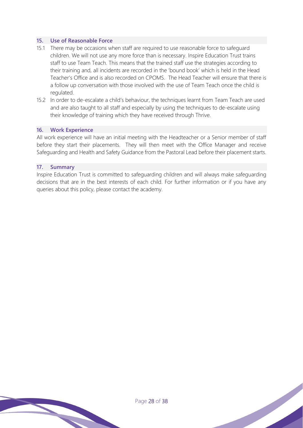## **15. Use of Reasonable Force**

- 15.1 There may be occasions when staff are required to use reasonable force to safeguard children. We will not use any more force than is necessary. Inspire Education Trust trains staff to use Team Teach. This means that the trained staff use the strategies according to their training and, all incidents are recorded in the 'bound book' which is held in the Head Teacher's Office and is also recorded on CPOMS. The Head Teacher will ensure that there is a follow up conversation with those involved with the use of Team Teach once the child is regulated.
- 15.2 In order to de-escalate a child's behaviour, the techniques learnt from Team Teach are used and are also taught to all staff and especially by using the techniques to de-escalate using their knowledge of training which they have received through Thrive.

#### **16. Work Experience**

All work experience will have an initial meeting with the Headteacher or a Senior member of staff before they start their placements. They will then meet with the Office Manager and receive Safeguarding and Health and Safety Guidance from the Pastoral Lead before their placement starts.

#### **17. Summary**

Inspire Education Trust is committed to safeguarding children and will always make safeguarding decisions that are in the best interests of each child. For further information or if you have any queries about this policy, please contact the academy.

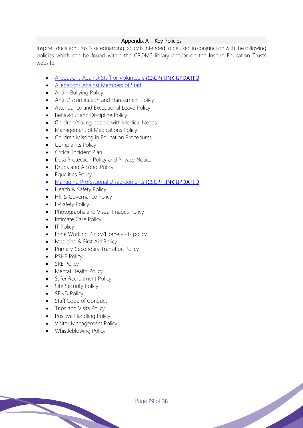## Appendix A – Key Policies

Inspire Education Trust's safeguarding policy is intended to be used in conjunction with the following policies which can be found within the CPOMS library and/or on the Inspire Education Trusts website.

- Allegations Against Staff or Volunteers (CSCP) LINK UPDATED
- Allegations Against Members of Staff
- Anti Bullying Policy
- Anti-Discrimination and Harassment Policy
- Attendance and Exceptional Leave Policy
- Behaviour and Discipline Policy
- Children/Young people with Medical Needs
- Management of Medications Policy
- Children Missing in Education Procedures
- Complaints Policy
- Critical Incident Plan
- Data Protection Policy and Privacy Notice
- Drugs and Alcohol Policy
- Equalities Policy
- Managing Professional Disagreements (CSCP) LINK UPDATED
- Health & Safety Policy
- HR & Governance Policy
- E-Safety Policy
- Photographs and Visual Images Policy
- Intimate Care Policy
- IT Policy
- Lone Working Policy/Home visits policy
- Medicine & First Aid Policy
- Primary-Secondary Transition Policy
- PSHE Policy
- SRE Policy
- Mental Health Policy
- Safer Recruitment Policy
- Site Security Policy
- SEND Policy
- Staff Code of Conduct
- Trips and Visits Policy
- Positive Handling Policy
- Visitor Management Policy
- Whistleblowing Policy

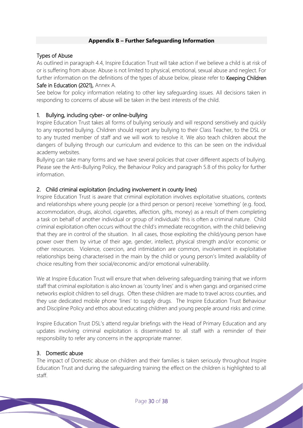## **Appendix B – Further Safeguarding Information**

## Types of Abuse

As outlined in paragraph 4.4, Inspire Education Trust will take action if we believe a child is at risk of or is suffering from abuse. Abuse is not limited to physical, emotional, sexual abuse and neglect. For further information on the definitions of the types of abuse below, please refer to **Keeping Children** Safe in Education (2021), Annex A.

See below for policy information relating to other key safeguarding issues. All decisions taken in responding to concerns of abuse will be taken in the best interests of the child.

## 1. Bullying, including cyber- or online-bullying

Inspire Education Trust takes all forms of bullying seriously and will respond sensitively and quickly to any reported bullying. Children should report any bullying to their Class Teacher, to the DSL or to any trusted member of staff and we will work to resolve it. We also teach children about the dangers of bullying through our curriculum and evidence to this can be seen on the individual academy websites.

Bullying can take many forms and we have several policies that cover different aspects of bullying. Please see the Anti-Bullying Policy, the Behaviour Policy and paragraph 5.8 of this policy for further information.

## 2. Child criminal exploitation (including involvement in county lines)

Inspire Education Trust is aware that criminal exploitation involves exploitative situations, contexts and relationships where young people (or a third person or person) receive 'something' (e.g. food, accommodation, drugs, alcohol, cigarettes, affection, gifts, money) as a result of them completing a task on behalf of another individual or group of individuals' this is often a criminal nature. Child criminal exploitation often occurs without the child's immediate recognition, with the child believing that they are in control of the situation. In all cases, those exploiting the child/young person have power over them by virtue of their age, gender, intellect, physical strength and/or economic or other resources. Violence, coercion, and intimidation are common, involvement in exploitative relationships being characterised in the main by the child or young person's limited availability of choice resulting from their social/economic and/or emotional vulnerability.

We at Inspire Education Trust will ensure that when delivering safeguarding training that we inform staff that criminal exploitation is also known as 'county lines' and is when gangs and organised crime networks exploit children to sell drugs. Often these children are made to travel across counties, and they use dedicated mobile phone 'lines' to supply drugs. The Inspire Education Trust Behaviour and Discipline Policy and ethos about educating children and young people around risks and crime.

Inspire Education Trust DSL's attend regular briefings with the Head of Primary Education and any updates involving criminal exploitation is disseminated to all staff with a reminder of their responsibility to refer any concerns in the appropriate manner.

## 3. Domestic abuse

The impact of Domestic abuse on children and their families is taken seriously throughout Inspire Education Trust and during the safeguarding training the effect on the children is highlighted to all staff.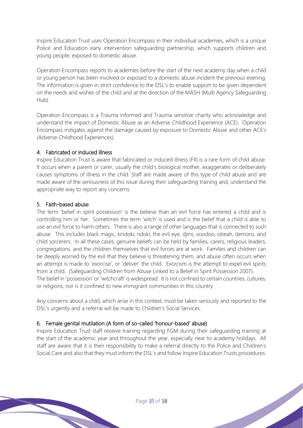Inspire Education Trust uses Operation Encompass in their individual academies, which is a unique Police and Education early intervention safeguarding partnership, which supports children and young people, exposed to domestic abuse.

Operation Encompass reports to academies before the start of the next academy day when a child or young person has been involved or exposed to a domestic abuse incident the previous evening. The information is given in strict confidence to the DSL's to enable support to be given dependent on the needs and wishes of the child and at the direction of the MASH (Multi Agency Safeguarding Hub).

Operation Encompass is a Trauma informed and Trauma sensitive charity who acknowledge and understand the impact of Domestic Abuse as an Adverse Childhood Experience (ACE). Operation Encompass mitigates against the damage caused by exposure to Domestic Abuse and other ACE's (Adverse Childhood Experiences).

## 4. Fabricated or induced illness

Inspire Education Trust is aware that fabricated or induced illness (FII) is a rare form of child abuse. It occurs when a parent or carer, usually the child's biological mother, exaggerates or deliberately causes symptoms of illness in the child. Staff are made aware of this type of child abuse and are made aware of the seriousness of this issue during their safeguarding training and, understand the appropriate way to report any concerns.

# 5. Faith-based abuse

The term 'belief in spirit possession' is the believe than an evil force has entered a child and is controlling him or her. Sometimes the term 'witch' is used and is the belief that a child is able to use an evil force to harm others. There is also a range of other languages that is connected to such abuse. This includes black magic, kindoki, ndoki, the evil eye, djins, voodoo, obeah, demons, and child sorcerers. In all these cases, genuine beliefs can be held by families, carers, religious leaders, congregations, and the children themselves that evil forces are at work. Families and children can be deeply worried by the evil that they believe is threatening them, and abuse often occurs when an attempt is made to 'exorcise', or 'deliver' the child. Exorcism is the attempt to expel evil spirits from a child. (Safeguarding Children from Abuse Linked to a Belief in Spirit Possession 2007). The belief in 'possession' or 'witchcraft' is widespread. It is not confined to certain countries, cultures, or religions, nor is it confined to new immigrant communities in this country.

Any concerns about a child, which arise in this context, must be taken seriously and reported to the DSL's urgently and a referral will be made to Children's Social Services.

# 6. Female genital mutilation (A form of so-called 'honour-based' abuse)

Inspire Education Trust staff receive training regarding FGM during their safeguarding training at the start of the academic year and throughout the year, especially near to academy holidays. All staff are aware that it is their responsibility to make a referral directly to the Police and Children's Social Care and also that they must inform the DSL's and follow Inspire Education Trusts procedures.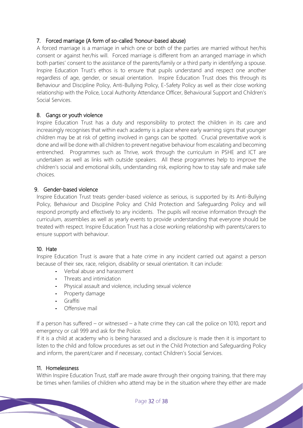## 7. Forced marriage (A form of so-called 'honour-based abuse)

A forced marriage is a marriage in which one or both of the parties are married without her/his consent or against her/his will. Forced marriage is different from an arranged marriage in which both parties' consent to the assistance of the parents/family or a third party in identifying a spouse. Inspire Education Trust's ethos is to ensure that pupils understand and respect one another regardless of age, gender, or sexual orientation. Inspire Education Trust does this through its Behaviour and Discipline Policy, Anti-Bullying Policy, E-Safety Policy as well as their close working relationship with the Police, Local Authority Attendance Officer, Behavioural Support and Children's Social Services.

## 8. Gangs or youth violence

Inspire Education Trust has a duty and responsibility to protect the children in its care and increasingly recognises that within each academy is a place where early warning signs that younger children may be at risk of getting involved in gangs can be spotted. Crucial preventative work is done and will be done with all children to prevent negative behaviour from escalating and becoming entrenched. Programmes such as Thrive, work through the curriculum in PSHE and ICT are undertaken as well as links with outside speakers. All these programmes help to improve the children's social and emotional skills, understanding risk, exploring how to stay safe and make safe choices.

## 9. Gender-based violence

Inspire Education Trust treats gender-based violence as serious, is supported by its Anti-Bullying Policy, Behaviour and Discipline Policy and Child Protection and Safeguarding Policy and will respond promptly and effectively to any incidents. The pupils will receive information through the curriculum, assemblies as well as yearly events to provide understanding that everyone should be treated with respect. Inspire Education Trust has a close working relationship with parents/carers to ensure support with behaviour.

# 10. Hate

Inspire Education Trust is aware that a hate crime in any incident carried out against a person because of their sex, race, religion, disability or sexual orientation. It can include:

- **-** Verbal abuse and harassment
- **-** Threats and intimidation
- **-** Physical assault and violence, including sexual violence
- **-** Property damage
- **-** Graffiti
- **-** Offensive mail

If a person has suffered – or witnessed – a hate crime they can call the police on 1010, report and emergency or call 999 and ask for the Police.

If it is a child at academy who is being harassed and a disclosure is made then it is important to listen to the child and follow procedures as set out in the Child Protection and Safeguarding Policy and inform, the parent/carer and if necessary, contact Children's Social Services.

## 11. Homelessness

Within Inspire Education Trust, staff are made aware through their ongoing training, that there may be times when families of children who attend may be in the situation where they either are made<br>Page 32 of 38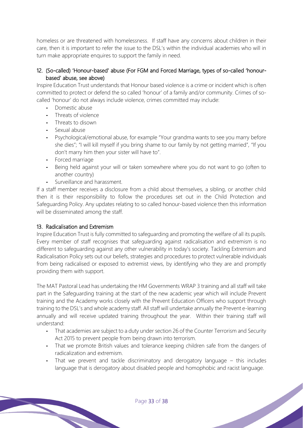homeless or are threatened with homelessness. If staff have any concerns about children in their care, then it is important to refer the issue to the DSL's within the individual academies who will in turn make appropriate enquires to support the family in need.

## 12. (So-called) 'Honour-based' abuse (For FGM and Forced Marriage, types of so-called 'honourbased' abuse, see above)

Inspire Education Trust understands that Honour based violence is a crime or incident which is often committed to protect or defend the so called 'honour' of a family and/or community. Crimes of socalled 'honour' do not always include violence, crimes committed may include:

- **-** Domestic abuse
- **-** Threats of violence
- **-** Threats to disown
- **-** Sexual abuse
- **-** Psychological/emotional abuse, for example "Your grandma wants to see you marry before she dies"; "I will kill myself if you bring shame to our family by not getting married", "If you don't marry him then your sister will have to".
- **-** Forced marriage
- **-** Being held against your will or taken somewhere where you do not want to go (often to another country)
- **-** Surveillance and harassment.

If a staff member receives a disclosure from a child about themselves, a sibling, or another child then it is their responsibility to follow the procedures set out in the Child Protection and Safeguarding Policy. Any updates relating to so called honour-based violence then this information will be disseminated among the staff.

# 13. Radicalisation and Extremism

Inspire Education Trust is fully committed to safeguarding and promoting the welfare of all its pupils. Every member of staff recognises that safeguarding against radicalisation and extremism is no different to safeguarding against any other vulnerability in today's society. Tackling Extremism and Radicalisation Policy sets out our beliefs, strategies and procedures to protect vulnerable individuals from being radicalised or exposed to extremist views, by identifying who they are and promptly providing them with support.

The MAT Pastoral Lead has undertaking the HM Governments WRAP 3 training and all staff will take part in the Safeguarding training at the start of the new academic year which will include Prevent training and the Academy works closely with the Prevent Education Officers who support through training to the DSL's and whole academy staff. All staff will undertake annually the Prevent e-learning annually and will receive updated training throughout the year. Within their training staff will understand:

- **-** That academies are subject to a duty under section 26 of the Counter Terrorism and Security Act 2015 to prevent people from being drawn into terrorism.
- **-** That we promote British values and tolerance keeping children safe from the dangers of radicalization and extremism.
- **-** That we prevent and tackle discriminatory and derogatory language this includes language that is derogatory about disabled people and homophobic and racist language.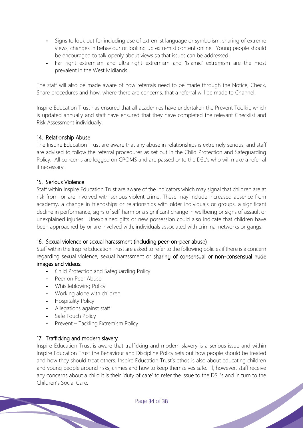- **-** Signs to look out for including use of extremist language or symbolism, sharing of extreme views, changes in behaviour or looking up extremist content online. Young people should be encouraged to talk openly about views so that issues can be addressed.
- **-** Far right extremism and ultra-right extremism and 'Islamic' extremism are the most prevalent in the West Midlands.

The staff will also be made aware of how referrals need to be made through the Notice, Check, Share procedures and how, where there are concerns, that a referral will be made to Channel.

Inspire Education Trust has ensured that all academies have undertaken the Prevent Toolkit, which is updated annually and staff have ensured that they have completed the relevant Checklist and Risk Assessment individually.

## 14. Relationship Abuse

The Inspire Education Trust are aware that any abuse in relationships is extremely serious, and staff are advised to follow the referral procedures as set out in the Child Protection and Safeguarding Policy. All concerns are logged on CPOMS and are passed onto the DSL's who will make a referral if necessary.

## 15. Serious Violence

Staff within Inspire Education Trust are aware of the indicators which may signal that children are at risk from, or are involved with serious violent crime. These may include increased absence from academy, a change in friendships or relationships with older individuals or groups, a significant decline in performance, signs of self-harm or a significant change in wellbeing or signs of assault or unexplained injuries. Unexplained gifts or new possession could also indicate that children have been approached by or are involved with, individuals associated with criminal networks or gangs.

## 16. Sexual violence or sexual harassment (including peer-on-peer abuse)

Staff within the Inspire Education Trust are asked to refer to the following policies if there is a concern regarding sexual violence, sexual harassment or sharing of consensual or non-consensual nude images and videos:

- **-** Child Protection and Safeguarding Policy
- **-** Peer on Peer Abuse
- **-** Whistleblowing Policy
- **-** Working alone with children
- **-** Hospitality Policy
- **-** Allegations against staff
- **-** Safe Touch Policy
- **-** Prevent Tackling Extremism Policy

# 17. Trafficking and modern slavery

Inspire Education Trust is aware that trafficking and modern slavery is a serious issue and within Inspire Education Trust the Behaviour and Discipline Policy sets out how people should be treated and how they should treat others. Inspire Education Trust's ethos is also about educating children and young people around risks, crimes and how to keep themselves safe. If, however, staff receive any concerns about a child it is their 'duty of care' to refer the issue to the DSL's and in turn to the Children's Social Care.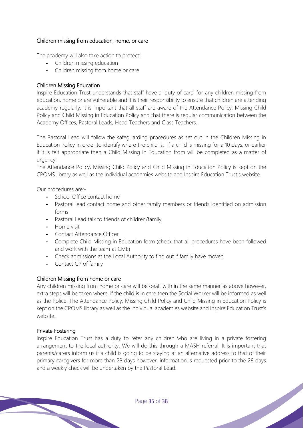## Children missing from education, home, or care

The academy will also take action to protect:

- **-** Children missing education
- **-** Children missing from home or care

## Children Missing Education

Inspire Education Trust understands that staff have a 'duty of care' for any children missing from education, home or are vulnerable and it is their responsibility to ensure that children are attending academy regularly. It is important that all staff are aware of the Attendance Policy, Missing Child Policy and Child Missing in Education Policy and that there is regular communication between the Academy Offices, Pastoral Leads, Head Teachers and Class Teachers.

The Pastoral Lead will follow the safeguarding procedures as set out in the Children Missing in Education Policy in order to identify where the child is. If a child is missing for a 10 days, or earlier if it is felt appropriate then a Child Missing in Education from will be completed as a matter of urgency.

The Attendance Policy, Missing Child Policy and Child Missing in Education Policy is kept on the CPOMS library as well as the individual academies website and Inspire Education Trust's website.

Our procedures are:-

- **-** School Office contact home
- **-** Pastoral lead contact home and other family members or friends identified on admission forms
- **-** Pastoral Lead talk to friends of children/family
- **-** Home visit
- **-** Contact Attendance Officer
- **-** Complete Child Missing in Education form (check that all procedures have been followed and work with the team at CME)
- **-** Check admissions at the Local Authority to find out if family have moved
- **-** Contact GP of family

## Children Missing from home or care

Any children missing from home or care will be dealt with in the same manner as above however, extra steps will be taken where, if the child is in care then the Social Worker will be informed as well as the Police. The Attendance Policy, Missing Child Policy and Child Missing in Education Policy is kept on the CPOMS library as well as the individual academies website and Inspire Education Trust's website.

## Private Fostering

Inspire Education Trust has a duty to refer any children who are living in a private fostering arrangement to the local authority. We will do this through a MASH referral. It is important that parents/carers inform us if a child is going to be staying at an alternative address to that of their primary caregivers for more than 28 days however, information is requested prior to the 28 days and a weekly check will be undertaken by the Pastoral Lead.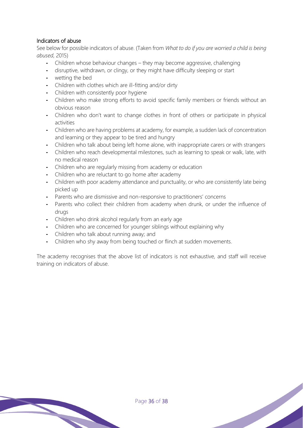# Indicators of abuse

See below for possible indicators of abuse. (Taken from *What to do if you are worried a child is being abused*, 2015)

- **-** Children whose behaviour changes they may become aggressive, challenging
- **-** disruptive, withdrawn, or clingy, or they might have difficulty sleeping or start
- **-** wetting the bed
- **-** Children with clothes which are ill-fitting and/or dirty
- **-** Children with consistently poor hygiene
- **-** Children who make strong efforts to avoid specific family members or friends without an obvious reason
- **-** Children who don't want to change clothes in front of others or participate in physical activities
- **-** Children who are having problems at academy, for example, a sudden lack of concentration and learning or they appear to be tired and hungry
- **-** Children who talk about being left home alone, with inappropriate carers or with strangers
- **-** Children who reach developmental milestones, such as learning to speak or walk, late, with no medical reason
- **-** Children who are regularly missing from academy or education
- **-** Children who are reluctant to go home after academy
- **-** Children with poor academy attendance and punctuality, or who are consistently late being picked up
- **-** Parents who are dismissive and non-responsive to practitioners' concerns
- Parents who collect their children from academy when drunk, or under the influence of drugs
- **-** Children who drink alcohol regularly from an early age
- **-** Children who are concerned for younger siblings without explaining why
- **-** Children who talk about running away; and
- **-** Children who shy away from being touched or flinch at sudden movements.

The academy recognises that the above list of indicators is not exhaustive, and staff will receive training on indicators of abuse.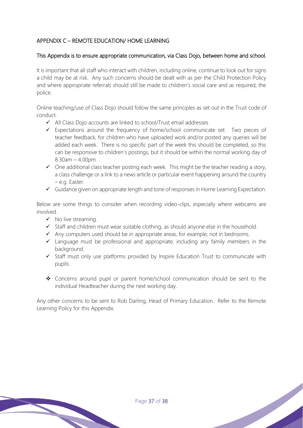# APPENDIX C – REMOTE EDUCATION/ HOME LEARNING

## This Appendix is to ensure appropriate communication, via Class Dojo, between home and school.

It is important that all staff who interact with children, including online, continue to look out for signs a child may be at risk. Any such concerns should be dealt with as per the Child Protection Policy and where appropriate referrals should still be made to children's social care and as required, the police.

Online teaching/use of Class Dojo should follow the same principles as set out in the Trust code of conduct.

- ✓ All Class Dojo accounts are linked to school/Trust email addresses
- ✓ Expectations around the frequency of home/school communicate set. Two pieces of teacher feedback, for children who have uploaded work and/or posted any queries will be added each week. There is no specific part of the week this should be completed, so this can be responsive to children's postings, but it should be within the normal working day of  $8.30$ am  $-4.00$ pm.
- $\checkmark$  One additional class teacher posting each week. This might be the teacher reading a story, a class challenge or a link to a news article or particular event happening around the country – e.g. Easter.
- ✓ Guidance given on appropriate length and tone of responses in Home Learning Expectation.

Below are some things to consider when recording video-clips, especially where webcams are involved.

- $\checkmark$  No live streaming.
- ✓ Staff and children must wear suitable clothing, as should anyone else in the household.
- ✓ Any computers used should be in appropriate areas, for example, not in bedrooms.
- $\checkmark$  Language must be professional and appropriate, including any family members in the background
- ✓ Staff must only use platforms provided by Inspire Education Trust to communicate with pupils.
- ❖ Concerns around pupil or parent home/school communication should be sent to the individual Headteacher during the next working day.

Any other concerns to be sent to Rob Darling, Head of Primary Education. Refer to the Remote Learning Policy for this Appendix.